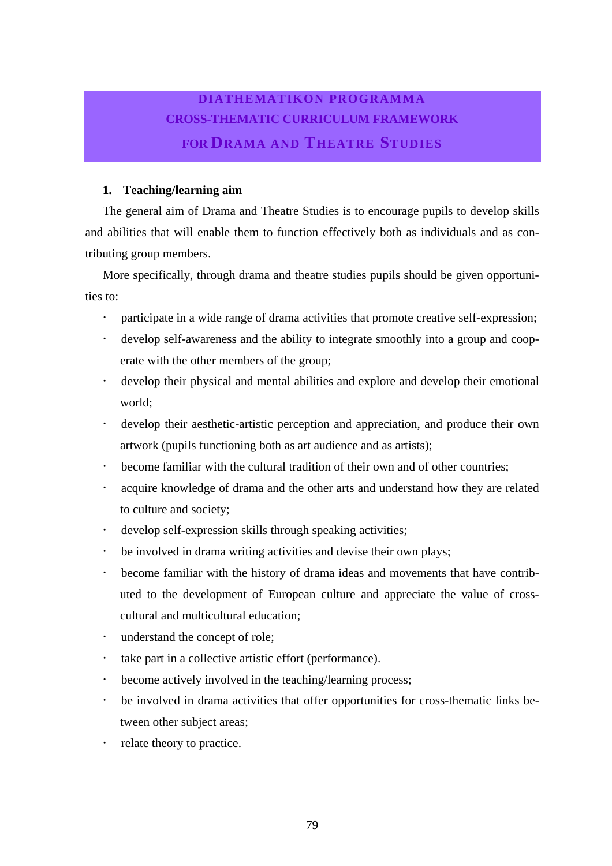#### **DIATHEMATIKON PROGRAMMA CROSS-THEMATIC CURRICULUM FRAMEWORK FOR DRAMA AND THEATRE STUDIES**

#### **1. Teaching/learning aim**

The general aim of Drama and Theatre Studies is to encourage pupils to develop skills and abilities that will enable them to function effectively both as individuals and as contributing group members.

More specifically, through drama and theatre studies pupils should be given opportunities to:

- participate in a wide range of drama activities that promote creative self-expression;
- ! develop self-awareness and the ability to integrate smoothly into a group and cooperate with the other members of the group;
- ! develop their physical and mental abilities and explore and develop their emotional world;
- ! develop their aesthetic-artistic perception and appreciation, and produce their own artwork (pupils functioning both as art audience and as artists);
- become familiar with the cultural tradition of their own and of other countries;
- acquire knowledge of drama and the other arts and understand how they are related to culture and society;
- ! develop self-expression skills through speaking activities;
- be involved in drama writing activities and devise their own plays;
- ! become familiar with the history of drama ideas and movements that have contributed to the development of European culture and appreciate the value of crosscultural and multicultural education;
- understand the concept of role:
- take part in a collective artistic effort (performance).
- become actively involved in the teaching/learning process;
- be involved in drama activities that offer opportunities for cross-thematic links between other subject areas;
- relate theory to practice.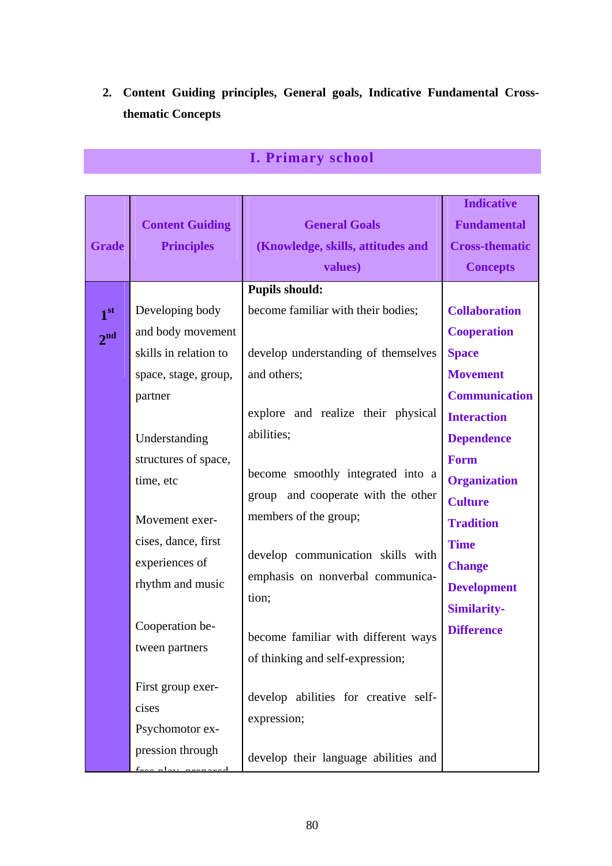### **2. Content Guiding principles, General goals, Indicative Fundamental Crossthematic Concepts**

|                 |                        |                                      | <b>Indicative</b>     |
|-----------------|------------------------|--------------------------------------|-----------------------|
|                 | <b>Content Guiding</b> | <b>General Goals</b>                 | <b>Fundamental</b>    |
| <b>Grade</b>    | <b>Principles</b>      | (Knowledge, skills, attitudes and    | <b>Cross-thematic</b> |
|                 |                        | values)                              | <b>Concepts</b>       |
|                 |                        | <b>Pupils should:</b>                |                       |
| 1 <sup>st</sup> | Developing body        | become familiar with their bodies;   | <b>Collaboration</b>  |
| 2 <sup>nd</sup> | and body movement      |                                      | <b>Cooperation</b>    |
|                 | skills in relation to  | develop understanding of themselves  | <b>Space</b>          |
|                 | space, stage, group,   | and others;                          | <b>Movement</b>       |
|                 | partner                |                                      | <b>Communication</b>  |
|                 |                        | explore and realize their physical   | <b>Interaction</b>    |
|                 | Understanding          | abilities;                           | <b>Dependence</b>     |
|                 | structures of space,   |                                      | <b>Form</b>           |
|                 | time, etc              | become smoothly integrated into a    | <b>Organization</b>   |
|                 |                        | group and cooperate with the other   | <b>Culture</b>        |
|                 | Movement exer-         | members of the group;                | <b>Tradition</b>      |
|                 | cises, dance, first    |                                      | <b>Time</b>           |
|                 | experiences of         | develop communication skills with    | <b>Change</b>         |
|                 | rhythm and music       | emphasis on nonverbal communica-     | <b>Development</b>    |
|                 |                        | tion;                                | <b>Similarity-</b>    |
|                 | Cooperation be-        | become familiar with different ways  | <b>Difference</b>     |
|                 | tween partners         | of thinking and self-expression;     |                       |
|                 |                        |                                      |                       |
|                 | First group exer-      | develop abilities for creative self- |                       |
|                 | cises                  | expression;                          |                       |
|                 | Psychomotor ex-        |                                      |                       |
|                 | pression through       | develop their language abilities and |                       |
|                 |                        |                                      |                       |

## **I. Primary school**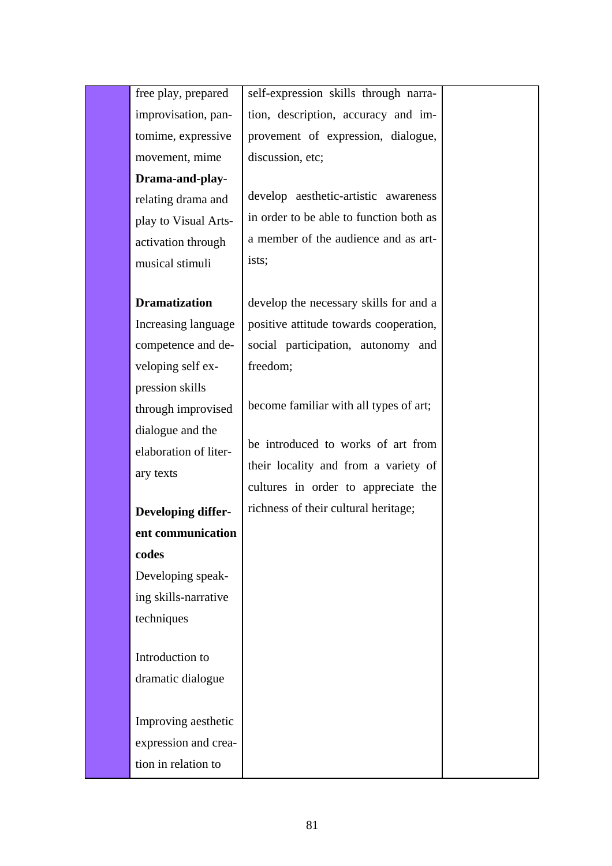| free play, prepared   | self-expression skills through narra-   |  |
|-----------------------|-----------------------------------------|--|
| improvisation, pan-   | tion, description, accuracy and im-     |  |
| tomime, expressive    | provement of expression, dialogue,      |  |
| movement, mime        | discussion, etc;                        |  |
| Drama-and-play-       |                                         |  |
| relating drama and    | develop aesthetic-artistic awareness    |  |
| play to Visual Arts-  | in order to be able to function both as |  |
| activation through    | a member of the audience and as art-    |  |
| musical stimuli       | ists;                                   |  |
|                       |                                         |  |
| <b>Dramatization</b>  | develop the necessary skills for and a  |  |
| Increasing language   | positive attitude towards cooperation,  |  |
| competence and de-    | social participation, autonomy and      |  |
| veloping self ex-     | freedom;                                |  |
| pression skills       |                                         |  |
| through improvised    | become familiar with all types of art;  |  |
| dialogue and the      | be introduced to works of art from      |  |
| elaboration of liter- | their locality and from a variety of    |  |
| ary texts             | cultures in order to appreciate the     |  |
|                       | richness of their cultural heritage;    |  |
| Developing differ-    |                                         |  |
| ent communication     |                                         |  |
| codes                 |                                         |  |
| Developing speak-     |                                         |  |
| ing skills-narrative  |                                         |  |
| techniques            |                                         |  |
| Introduction to       |                                         |  |
| dramatic dialogue     |                                         |  |
|                       |                                         |  |
| Improving aesthetic   |                                         |  |
| expression and crea-  |                                         |  |
| tion in relation to   |                                         |  |
|                       |                                         |  |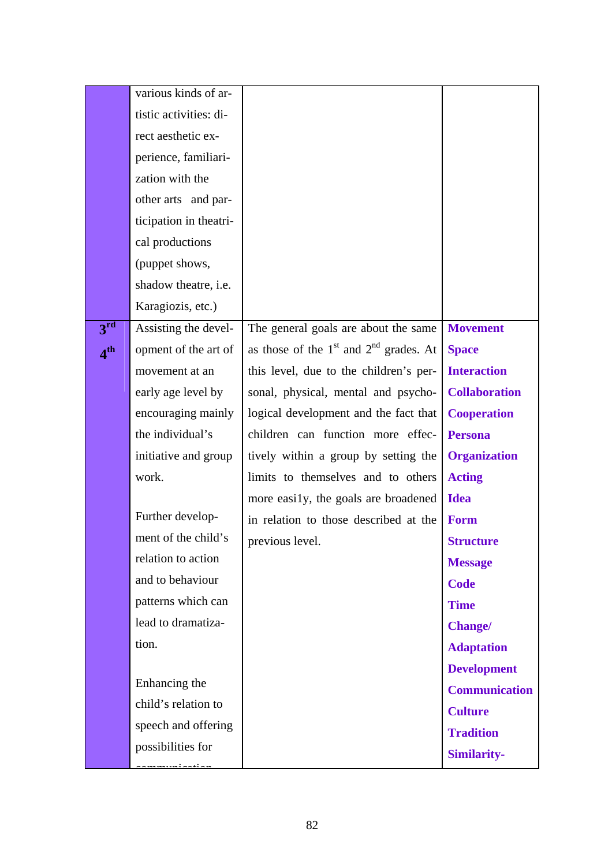|                              | various kinds of ar-        |                                            |                      |
|------------------------------|-----------------------------|--------------------------------------------|----------------------|
|                              | tistic activities: di-      |                                            |                      |
|                              | rect aesthetic ex-          |                                            |                      |
|                              | perience, familiari-        |                                            |                      |
|                              | zation with the             |                                            |                      |
|                              | other arts and par-         |                                            |                      |
|                              | ticipation in theatri-      |                                            |                      |
|                              | cal productions             |                                            |                      |
|                              | (puppet shows,              |                                            |                      |
|                              | shadow theatre, <i>i.e.</i> |                                            |                      |
|                              | Karagiozis, etc.)           |                                            |                      |
| 3 <sup>rd</sup>              | Assisting the devel-        | The general goals are about the same       | <b>Movement</b>      |
| $\boldsymbol{A}^{\text{th}}$ | opment of the art of        | as those of the $1st$ and $2nd$ grades. At | <b>Space</b>         |
|                              | movement at an              | this level, due to the children's per-     | <b>Interaction</b>   |
|                              | early age level by          | sonal, physical, mental and psycho-        | <b>Collaboration</b> |
|                              | encouraging mainly          | logical development and the fact that      | <b>Cooperation</b>   |
|                              | the individual's            | children can function more effec-          | <b>Persona</b>       |
|                              | initiative and group        | tively within a group by setting the       | <b>Organization</b>  |
|                              | work.                       | limits to themselves and to others         | <b>Acting</b>        |
|                              |                             | more easily, the goals are broadened       | <b>Idea</b>          |
|                              | Further develop-            | in relation to those described at the      | <b>Form</b>          |
|                              | ment of the child's         | previous level.                            | <b>Structure</b>     |
|                              | relation to action          |                                            | <b>Message</b>       |
|                              | and to behaviour            |                                            | <b>Code</b>          |
|                              | patterns which can          |                                            | <b>Time</b>          |
|                              | lead to dramatiza-          |                                            | <b>Change/</b>       |
|                              | tion.                       |                                            | <b>Adaptation</b>    |
|                              |                             |                                            | <b>Development</b>   |
|                              | Enhancing the               |                                            | <b>Communication</b> |
|                              | child's relation to         |                                            | <b>Culture</b>       |
|                              | speech and offering         |                                            | <b>Tradition</b>     |
|                              | possibilities for           |                                            | <b>Similarity-</b>   |
|                              |                             |                                            |                      |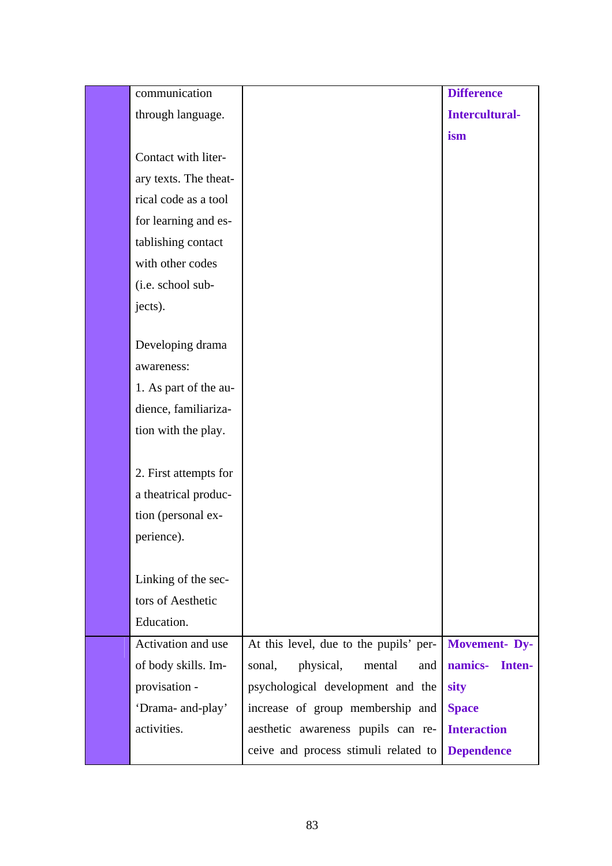| communication         |                                        | <b>Difference</b>     |
|-----------------------|----------------------------------------|-----------------------|
| through language.     |                                        | <b>Intercultural-</b> |
|                       |                                        | ism                   |
| Contact with liter-   |                                        |                       |
| ary texts. The theat- |                                        |                       |
| rical code as a tool  |                                        |                       |
| for learning and es-  |                                        |                       |
| tablishing contact    |                                        |                       |
| with other codes      |                                        |                       |
| (i.e. school sub-     |                                        |                       |
| jects).               |                                        |                       |
|                       |                                        |                       |
| Developing drama      |                                        |                       |
| awareness:            |                                        |                       |
| 1. As part of the au- |                                        |                       |
| dience, familiariza-  |                                        |                       |
| tion with the play.   |                                        |                       |
|                       |                                        |                       |
| 2. First attempts for |                                        |                       |
| a theatrical produc-  |                                        |                       |
| tion (personal ex-    |                                        |                       |
| perience).            |                                        |                       |
|                       |                                        |                       |
| Linking of the sec-   |                                        |                       |
| tors of Aesthetic     |                                        |                       |
| Education.            |                                        |                       |
| Activation and use    | At this level, due to the pupils' per- | Movement-Dy-          |
| of body skills. Im-   | physical,<br>mental<br>sonal,<br>and   | namics- Inten-        |
| provisation -         | psychological development and the      | sity                  |
| 'Drama- and-play'     | increase of group membership and       | <b>Space</b>          |
| activities.           | aesthetic awareness pupils can re-     | <b>Interaction</b>    |
|                       | ceive and process stimuli related to   | <b>Dependence</b>     |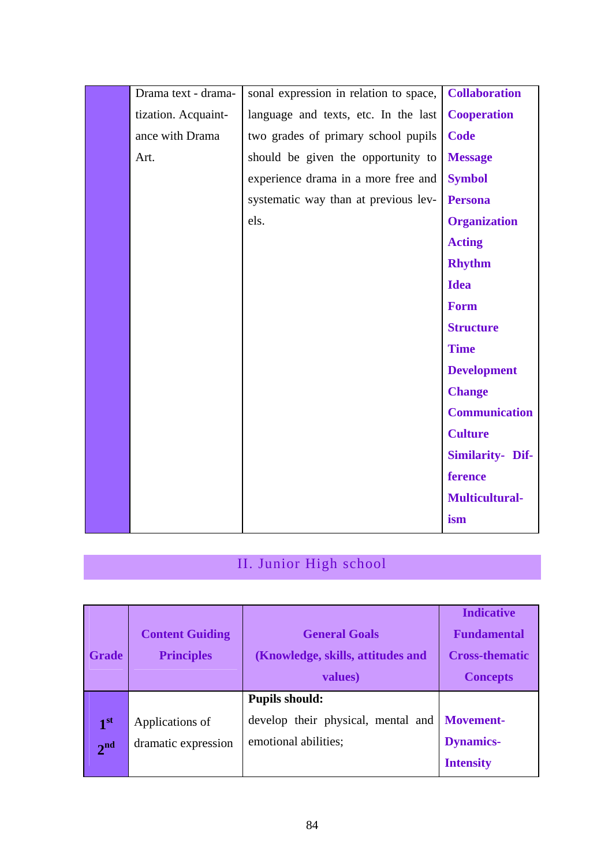| Drama text - drama- | sonal expression in relation to space, | <b>Collaboration</b>    |
|---------------------|----------------------------------------|-------------------------|
| tization. Acquaint- | language and texts, etc. In the last   | <b>Cooperation</b>      |
| ance with Drama     | two grades of primary school pupils    | <b>Code</b>             |
| Art.                | should be given the opportunity to     | <b>Message</b>          |
|                     | experience drama in a more free and    | <b>Symbol</b>           |
|                     | systematic way than at previous lev-   | <b>Persona</b>          |
|                     | els.                                   | <b>Organization</b>     |
|                     |                                        | <b>Acting</b>           |
|                     |                                        | <b>Rhythm</b>           |
|                     |                                        | <b>Idea</b>             |
|                     |                                        | <b>Form</b>             |
|                     |                                        | <b>Structure</b>        |
|                     |                                        | <b>Time</b>             |
|                     |                                        | <b>Development</b>      |
|                     |                                        | <b>Change</b>           |
|                     |                                        | <b>Communication</b>    |
|                     |                                        | <b>Culture</b>          |
|                     |                                        | <b>Similarity- Dif-</b> |
|                     |                                        | ference                 |
|                     |                                        | <b>Multicultural-</b>   |
|                     |                                        | ism                     |
|                     |                                        |                         |

# II. Junior High school

| <b>Grade</b>                       | <b>Content Guiding</b><br><b>Principles</b> | <b>General Goals</b><br>(Knowledge, skills, attitudes and<br>values)                | <b>Indicative</b><br><b>Fundamental</b><br><b>Cross-thematic</b><br><b>Concepts</b> |
|------------------------------------|---------------------------------------------|-------------------------------------------------------------------------------------|-------------------------------------------------------------------------------------|
| 1 <sup>st</sup><br>2 <sup>nd</sup> | Applications of<br>dramatic expression      | <b>Pupils should:</b><br>develop their physical, mental and<br>emotional abilities; | <b>Movement-</b><br><b>Dynamics-</b><br><b>Intensity</b>                            |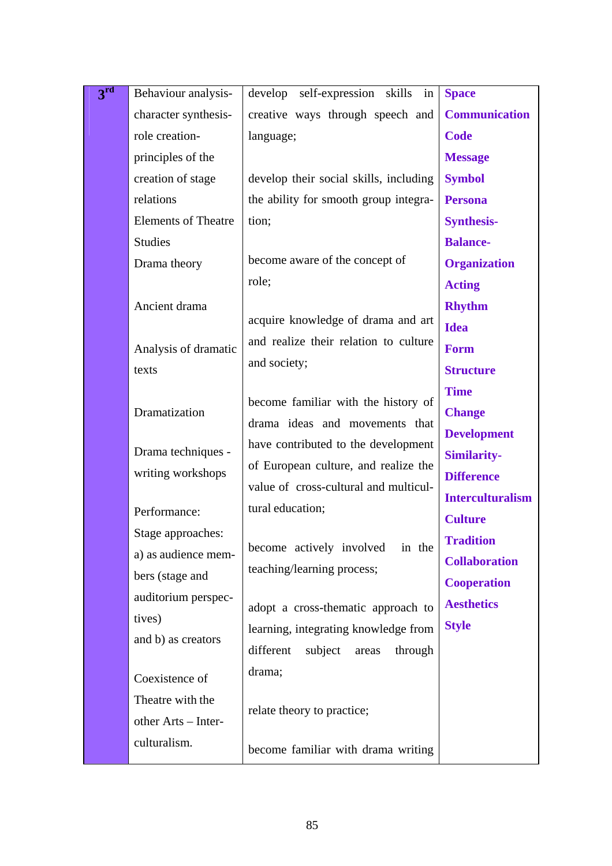| 3 <sup>rd</sup> | Behaviour analysis-           | develop self-expression<br>skills<br>in  | <b>Space</b>            |
|-----------------|-------------------------------|------------------------------------------|-------------------------|
|                 | character synthesis-          | creative ways through speech and         | <b>Communication</b>    |
|                 | role creation-                | language;                                | <b>Code</b>             |
|                 | principles of the             |                                          | <b>Message</b>          |
|                 | creation of stage             | develop their social skills, including   | <b>Symbol</b>           |
|                 | relations                     | the ability for smooth group integra-    | <b>Persona</b>          |
|                 | <b>Elements of Theatre</b>    | tion;                                    | <b>Synthesis-</b>       |
|                 | <b>Studies</b>                |                                          | <b>Balance-</b>         |
|                 | Drama theory                  | become aware of the concept of           | <b>Organization</b>     |
|                 |                               | role;                                    | <b>Acting</b>           |
|                 | Ancient drama                 |                                          | <b>Rhythm</b>           |
|                 |                               | acquire knowledge of drama and art       | <b>Idea</b>             |
|                 | Analysis of dramatic          | and realize their relation to culture    | <b>Form</b>             |
|                 | texts                         | and society;                             | <b>Structure</b>        |
|                 |                               | become familiar with the history of      | <b>Time</b>             |
|                 | Dramatization                 | drama ideas and movements that           | <b>Change</b>           |
|                 |                               | have contributed to the development      | <b>Development</b>      |
|                 | Drama techniques -            | of European culture, and realize the     | <b>Similarity-</b>      |
|                 | writing workshops             | value of cross-cultural and multicul-    | <b>Difference</b>       |
|                 |                               | tural education;                         | <b>Interculturalism</b> |
|                 | Performance:                  |                                          | <b>Culture</b>          |
|                 | Stage approaches:             | become actively involved<br>in the       | <b>Tradition</b>        |
|                 | a) as audience mem-           | teaching/learning process;               | <b>Collaboration</b>    |
|                 | bers (stage and               |                                          | <b>Cooperation</b>      |
|                 | auditorium perspec-<br>tives) | adopt a cross-thematic approach to       | <b>Aesthetics</b>       |
|                 | and b) as creators            | learning, integrating knowledge from     | <b>Style</b>            |
|                 |                               | different<br>subject<br>through<br>areas |                         |
|                 | Coexistence of                | drama;                                   |                         |
|                 | Theatre with the              |                                          |                         |
|                 | other Arts - Inter-           | relate theory to practice;               |                         |
|                 | culturalism.                  |                                          |                         |
|                 |                               | become familiar with drama writing       |                         |